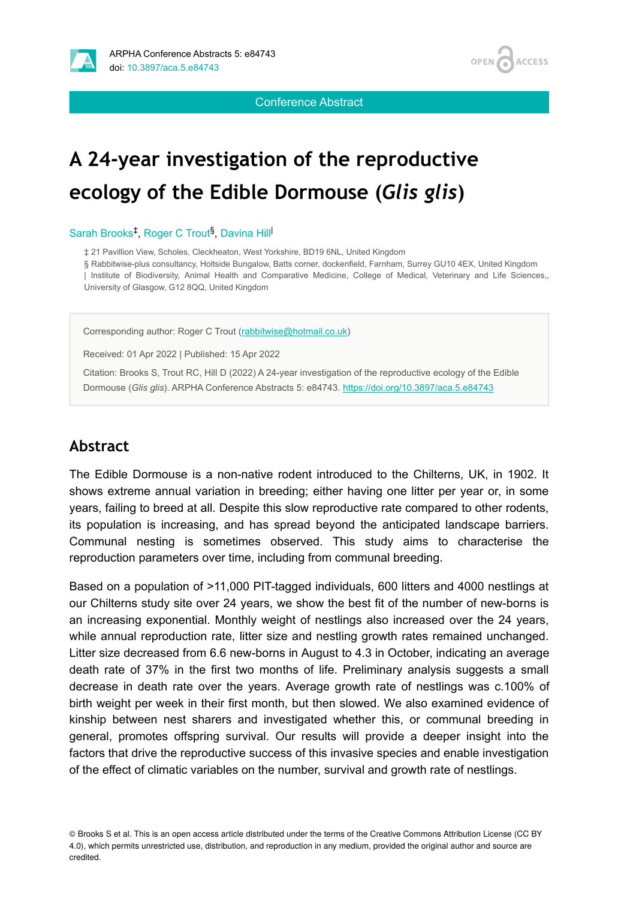



Conference Abstract

# **A 24-year investigation of the reproductive ecology of the Edible Dormouse (***Glis glis***)**

Sarah Brooks<sup>‡</sup>, Roger C Trout<sup>§</sup>, Davina Hill

‡ 21 Pavillion View, Scholes, Cleckheaton, West Yorkshire, BD19 6NL, United Kingdom

§ Rabbitwise-plus consultancy, Holtside Bungalow, Batts corner, dockenfield, Farnham, Surrey GU10 4EX, United Kingdom | Institute of Biodiversity, Animal Health and Comparative Medicine, College of Medical, Veterinary and Life Sciences,, University of Glasgow, G12 8QQ, United Kingdom

Corresponding author: Roger C Trout ([rabbitwise@hotmail.co.uk\)](mailto:rabbitwise@hotmail.co.uk)

Received: 01 Apr 2022 | Published: 15 Apr 2022

Citation: Brooks S, Trout RC, Hill D (2022) A 24-year investigation of the reproductive ecology of the Edible Dormouse (*Glis glis*). ARPHA Conference Abstracts 5: e84743.<https://doi.org/10.3897/aca.5.e84743>

#### **Abstract**

The Edible Dormouse is a non-native rodent introduced to the Chilterns, UK, in 1902. It shows extreme annual variation in breeding; either having one litter per year or, in some years, failing to breed at all. Despite this slow reproductive rate compared to other rodents, its population is increasing, and has spread beyond the anticipated landscape barriers. Communal nesting is sometimes observed. This study aims to characterise the reproduction parameters over time, including from communal breeding.

Based on a population of >11,000 PIT-tagged individuals, 600 litters and 4000 nestlings at our Chilterns study site over 24 years, we show the best fit of the number of new-borns is an increasing exponential. Monthly weight of nestlings also increased over the 24 years, while annual reproduction rate, litter size and nestling growth rates remained unchanged. Litter size decreased from 6.6 new-borns in August to 4.3 in October, indicating an average death rate of 37% in the first two months of life. Preliminary analysis suggests a small decrease in death rate over the years. Average growth rate of nestlings was c.100% of birth weight per week in their first month, but then slowed. We also examined evidence of kinship between nest sharers and investigated whether this, or communal breeding in general, promotes offspring survival. Our results will provide a deeper insight into the factors that drive the reproductive success of this invasive species and enable investigation of the effect of climatic variables on the number, survival and growth rate of nestlings.

© Brooks S et al. This is an open access article distributed under the terms of the Creative Commons Attribution License (CC BY 4.0), which permits unrestricted use, distribution, and reproduction in any medium, provided the original author and source are credited.